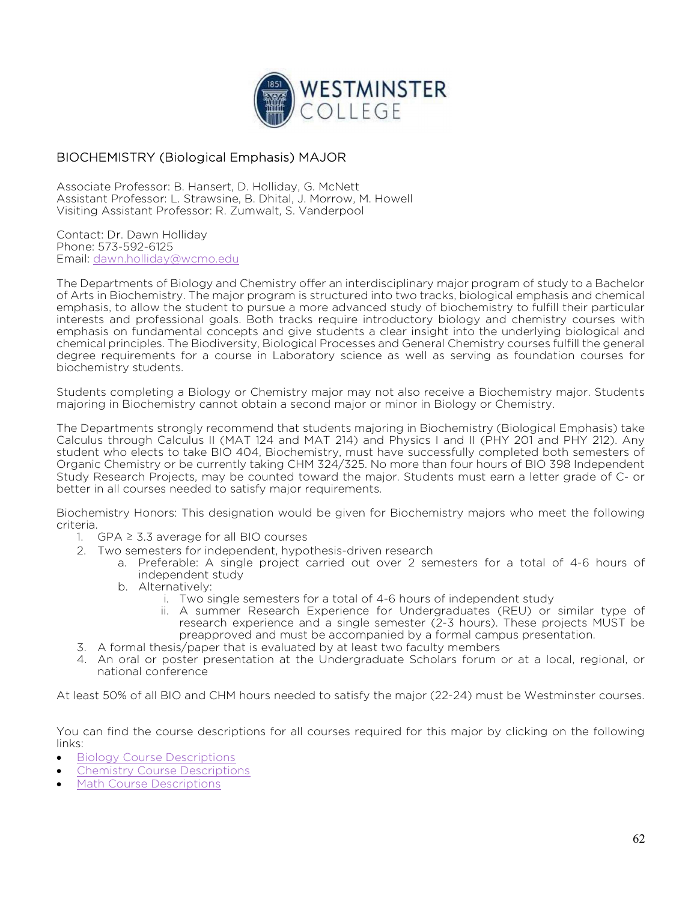

## BIOCHEMISTRY (Biological Emphasis) MAJOR

Associate Professor: B. Hansert, D. Holliday, G. McNett Assistant Professor: L. Strawsine, B. Dhital, J. Morrow, M. Howell Visiting Assistant Professor: R. Zumwalt, S. Vanderpool

Contact: Dr. Dawn Holliday Phone: 573-592-6125 Email: dawn.holliday@wcmo.edu

The Departments of Biology and Chemistry offer an interdisciplinary major program of study to a Bachelor of Arts in Biochemistry. The major program is structured into two tracks, biological emphasis and chemical emphasis, to allow the student to pursue a more advanced study of biochemistry to fulfill their particular interests and professional goals. Both tracks require introductory biology and chemistry courses with emphasis on fundamental concepts and give students a clear insight into the underlying biological and chemical principles. The Biodiversity, Biological Processes and General Chemistry courses fulfill the general degree requirements for a course in Laboratory science as well as serving as foundation courses for biochemistry students.

Students completing a Biology or Chemistry major may not also receive a Biochemistry major. Students majoring in Biochemistry cannot obtain a second major or minor in Biology or Chemistry.

The Departments strongly recommend that students majoring in Biochemistry (Biological Emphasis) take Calculus through Calculus II (MAT 124 and MAT 214) and Physics I and II (PHY 201 and PHY 212). Any student who elects to take BIO 404, Biochemistry, must have successfully completed both semesters of Organic Chemistry or be currently taking CHM 324/325. No more than four hours of BIO 398 Independent Study Research Projects, may be counted toward the major. Students must earn a letter grade of C- or better in all courses needed to satisfy major requirements.

Biochemistry Honors: This designation would be given for Biochemistry majors who meet the following criteria.

- 1. GPA  $\geq$  3.3 average for all BIO courses
- 2. Two semesters for independent, hypothesis-driven research
	- a. Preferable: A single project carried out over 2 semesters for a total of 4-6 hours of independent study
	- b. Alternatively:
		- i. Two single semesters for a total of 4-6 hours of independent study
		- ii. A summer Research Experience for Undergraduates (REU) or similar type of research experience and a single semester (2-3 hours). These projects MUST be preapproved and must be accompanied by a formal campus presentation.
- 3. A formal thesis/paper that is evaluated by at least two faculty members
- 4. An oral or poster presentation at the Undergraduate Scholars forum or at a local, regional, or national conference

At least 50% of all BIO and CHM hours needed to satisfy the major (22-24) must be Westminster courses.

You can find the course descriptions for all courses required for this major by clicking on the following links:

- Biology Course Descriptions
- Chemistry Course Descriptions
- Math Course Descriptions